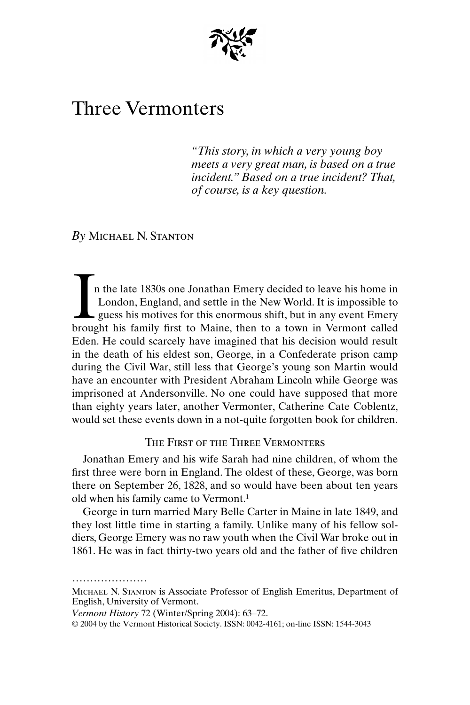

# Three Vermonters

*"This story, in which a very young boy meets a very great man, is based on a true incident." Based on a true incident? That, of course, is a key question.*

*By* Michael N. Stanton

n the late 1830s one Jonathan Emery decided to leave his home in London, England, and settle in the New World. It is impossible to  $\mathsf{\mathsf{L}}$  guess his motives for this enormous shift, but in any event Emery In the late 1830s one Jonathan Emery decided to leave his home in London, England, and settle in the New World. It is impossible to guess his motives for this enormous shift, but in any event Emery brought his family first Eden. He could scarcely have imagined that his decision would result in the death of his eldest son, George, in a Confederate prison camp during the Civil War, still less that George's young son Martin would have an encounter with President Abraham Lincoln while George was imprisoned at Andersonville. No one could have supposed that more than eighty years later, another Vermonter, Catherine Cate Coblentz, would set these events down in a not-quite forgotten book for children.

The First of the Three Vermonters

Jonathan Emery and his wife Sarah had nine children, of whom the first three were born in England. The oldest of these, George, was born there on September 26, 1828, and so would have been about ten years old when his family came to Vermont.1

George in turn married Mary Belle Carter in Maine in late 1849, and they lost little time in starting a family. Unlike many of his fellow soldiers, George Emery was no raw youth when the Civil War broke out in 1861. He was in fact thirty-two years old and the father of five children

<sup>.....................</sup> Michael N. Stanton is Associate Professor of English Emeritus, Department of English, University of Vermont.

*Vermont History* 72 (Winter/Spring 2004): 63–72.

<sup>© 2004</sup> by the Vermont Historical Society. ISSN: 0042-4161; on-line ISSN: 1544-3043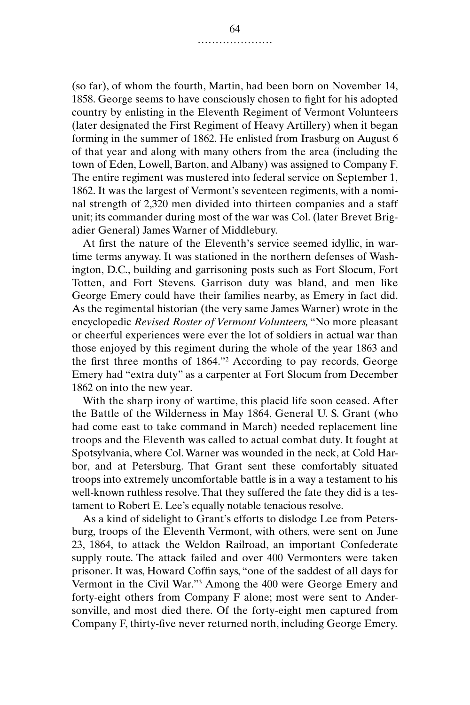(so far), of whom the fourth, Martin, had been born on November 14, 1858. George seems to have consciously chosen to fight for his adopted country by enlisting in the Eleventh Regiment of Vermont Volunteers (later designated the First Regiment of Heavy Artillery) when it began forming in the summer of 1862. He enlisted from Irasburg on August 6 of that year and along with many others from the area (including the town of Eden, Lowell, Barton, and Albany) was assigned to Company F. The entire regiment was mustered into federal service on September 1, 1862. It was the largest of Vermont's seventeen regiments, with a nominal strength of 2,320 men divided into thirteen companies and a staff unit; its commander during most of the war was Col. (later Brevet Brigadier General) James Warner of Middlebury.

At first the nature of the Eleventh's service seemed idyllic, in wartime terms anyway. It was stationed in the northern defenses of Washington, D.C., building and garrisoning posts such as Fort Slocum, Fort Totten, and Fort Stevens. Garrison duty was bland, and men like George Emery could have their families nearby, as Emery in fact did. As the regimental historian (the very same James Warner) wrote in the encyclopedic *Revised Roster of Vermont Volunteers,* "No more pleasant or cheerful experiences were ever the lot of soldiers in actual war than those enjoyed by this regiment during the whole of the year 1863 and the first three months of 1864."2 According to pay records, George Emery had "extra duty" as a carpenter at Fort Slocum from December 1862 on into the new year.

With the sharp irony of wartime, this placid life soon ceased. After the Battle of the Wilderness in May 1864, General U. S. Grant (who had come east to take command in March) needed replacement line troops and the Eleventh was called to actual combat duty. It fought at Spotsylvania, where Col. Warner was wounded in the neck, at Cold Harbor, and at Petersburg. That Grant sent these comfortably situated troops into extremely uncomfortable battle is in a way a testament to his well-known ruthless resolve. That they suffered the fate they did is a testament to Robert E. Lee's equally notable tenacious resolve.

As a kind of sidelight to Grant's efforts to dislodge Lee from Petersburg, troops of the Eleventh Vermont, with others, were sent on June 23, 1864, to attack the Weldon Railroad, an important Confederate supply route. The attack failed and over 400 Vermonters were taken prisoner. It was, Howard Coffin says, "one of the saddest of all days for Vermont in the Civil War."3 Among the 400 were George Emery and forty-eight others from Company F alone; most were sent to Andersonville, and most died there. Of the forty-eight men captured from Company F, thirty-five never returned north, including George Emery.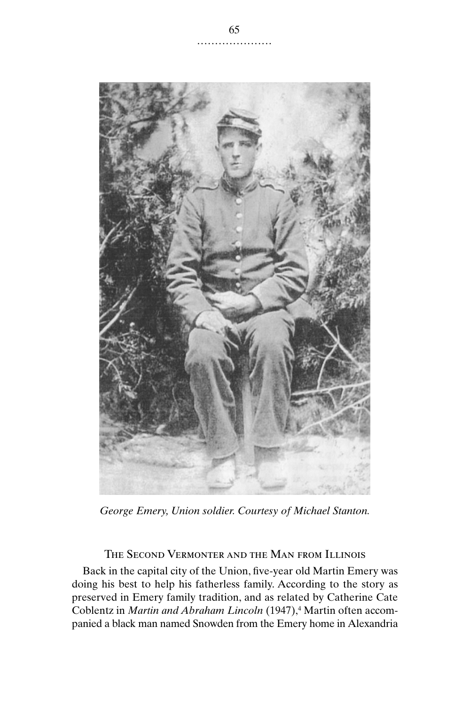

*George Emery, Union soldier. Courtesy of Michael Stanton.*

# THE SECOND VERMONTER AND THE MAN FROM ILLINOIS

Back in the capital city of the Union, five-year old Martin Emery was doing his best to help his fatherless family. According to the story as preserved in Emery family tradition, and as related by Catherine Cate Coblentz in *Martin and Abraham Lincoln* (1947),<sup>4</sup> Martin often accompanied a black man named Snowden from the Emery home in Alexandria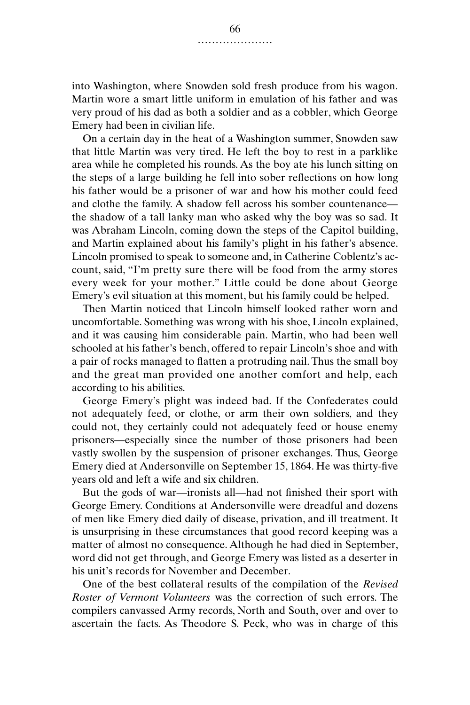into Washington, where Snowden sold fresh produce from his wagon. Martin wore a smart little uniform in emulation of his father and was very proud of his dad as both a soldier and as a cobbler, which George Emery had been in civilian life.

On a certain day in the heat of a Washington summer, Snowden saw that little Martin was very tired. He left the boy to rest in a parklike area while he completed his rounds. As the boy ate his lunch sitting on the steps of a large building he fell into sober reflections on how long his father would be a prisoner of war and how his mother could feed and clothe the family. A shadow fell across his somber countenance the shadow of a tall lanky man who asked why the boy was so sad. It was Abraham Lincoln, coming down the steps of the Capitol building, and Martin explained about his family's plight in his father's absence. Lincoln promised to speak to someone and, in Catherine Coblentz's account, said, "I'm pretty sure there will be food from the army stores every week for your mother." Little could be done about George Emery's evil situation at this moment, but his family could be helped.

Then Martin noticed that Lincoln himself looked rather worn and uncomfortable. Something was wrong with his shoe, Lincoln explained, and it was causing him considerable pain. Martin, who had been well schooled at his father's bench, offered to repair Lincoln's shoe and with a pair of rocks managed to flatten a protruding nail. Thus the small boy and the great man provided one another comfort and help, each according to his abilities.

George Emery's plight was indeed bad. If the Confederates could not adequately feed, or clothe, or arm their own soldiers, and they could not, they certainly could not adequately feed or house enemy prisoners—especially since the number of those prisoners had been vastly swollen by the suspension of prisoner exchanges. Thus, George Emery died at Andersonville on September 15, 1864. He was thirty-five years old and left a wife and six children.

But the gods of war—ironists all—had not finished their sport with George Emery. Conditions at Andersonville were dreadful and dozens of men like Emery died daily of disease, privation, and ill treatment. It is unsurprising in these circumstances that good record keeping was a matter of almost no consequence. Although he had died in September, word did not get through, and George Emery was listed as a deserter in his unit's records for November and December.

One of the best collateral results of the compilation of the *Revised Roster of Vermont Volunteers* was the correction of such errors. The compilers canvassed Army records, North and South, over and over to ascertain the facts. As Theodore S. Peck, who was in charge of this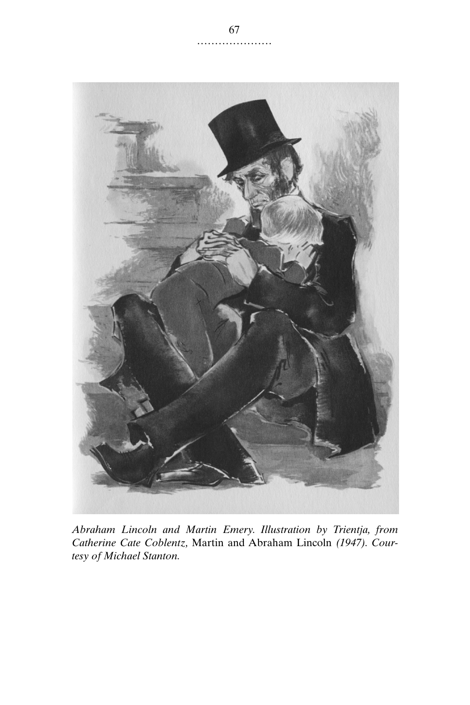

*Abraham Lincoln and Martin Emery. Illustration by Trientja, from Catherine Cate Coblentz,* Martin and Abraham Lincoln *(1947). Courtesy of Michael Stanton.*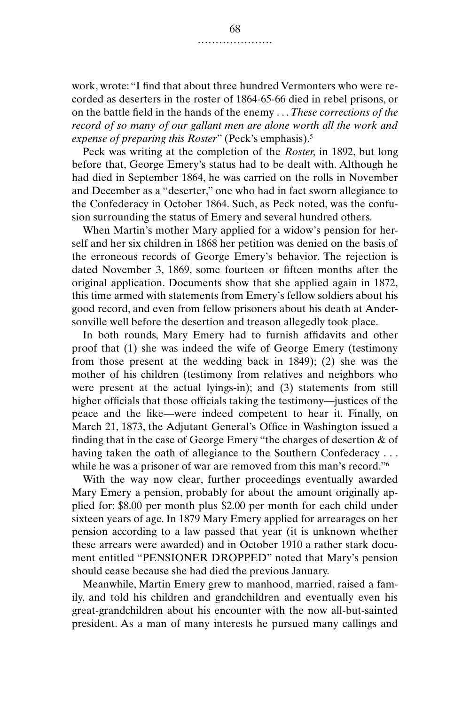work, wrote: "I find that about three hundred Vermonters who were recorded as deserters in the roster of 1864-65-66 died in rebel prisons, or on the battle field in the hands of the enemy . . . *These corrections of the record of so many of our gallant men are alone worth all the work and expense of preparing this Roster*" (Peck's emphasis).5

Peck was writing at the completion of the *Roster,* in 1892, but long before that, George Emery's status had to be dealt with. Although he had died in September 1864, he was carried on the rolls in November and December as a "deserter," one who had in fact sworn allegiance to the Confederacy in October 1864. Such, as Peck noted, was the confusion surrounding the status of Emery and several hundred others.

When Martin's mother Mary applied for a widow's pension for herself and her six children in 1868 her petition was denied on the basis of the erroneous records of George Emery's behavior. The rejection is dated November 3, 1869, some fourteen or fifteen months after the original application. Documents show that she applied again in 1872, this time armed with statements from Emery's fellow soldiers about his good record, and even from fellow prisoners about his death at Andersonville well before the desertion and treason allegedly took place.

In both rounds, Mary Emery had to furnish affidavits and other proof that (1) she was indeed the wife of George Emery (testimony from those present at the wedding back in 1849); (2) she was the mother of his children (testimony from relatives and neighbors who were present at the actual lyings-in); and (3) statements from still higher officials that those officials taking the testimony—justices of the peace and the like—were indeed competent to hear it. Finally, on March 21, 1873, the Adjutant General's Office in Washington issued a finding that in the case of George Emery "the charges of desertion & of having taken the oath of allegiance to the Southern Confederacy ... while he was a prisoner of war are removed from this man's record."<sup>6</sup>

With the way now clear, further proceedings eventually awarded Mary Emery a pension, probably for about the amount originally applied for: \$8.00 per month plus \$2.00 per month for each child under sixteen years of age. In 1879 Mary Emery applied for arrearages on her pension according to a law passed that year (it is unknown whether these arrears were awarded) and in October 1910 a rather stark document entitled "PENSIONER DROPPED" noted that Mary's pension should cease because she had died the previous January.

Meanwhile, Martin Emery grew to manhood, married, raised a family, and told his children and grandchildren and eventually even his great-grandchildren about his encounter with the now all-but-sainted president. As a man of many interests he pursued many callings and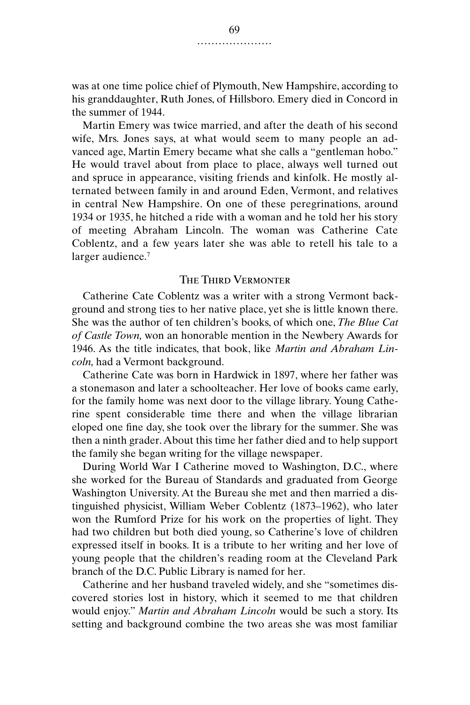was at one time police chief of Plymouth, New Hampshire, according to his granddaughter, Ruth Jones, of Hillsboro. Emery died in Concord in the summer of 1944.

Martin Emery was twice married, and after the death of his second wife, Mrs. Jones says, at what would seem to many people an advanced age, Martin Emery became what she calls a "gentleman hobo." He would travel about from place to place, always well turned out and spruce in appearance, visiting friends and kinfolk. He mostly alternated between family in and around Eden, Vermont, and relatives in central New Hampshire. On one of these peregrinations, around 1934 or 1935, he hitched a ride with a woman and he told her his story of meeting Abraham Lincoln. The woman was Catherine Cate Coblentz, and a few years later she was able to retell his tale to a larger audience.<sup>7</sup>

### The Third Vermonter

Catherine Cate Coblentz was a writer with a strong Vermont background and strong ties to her native place, yet she is little known there. She was the author of ten children's books, of which one, *The Blue Cat of Castle Town,* won an honorable mention in the Newbery Awards for 1946. As the title indicates, that book, like *Martin and Abraham Lincoln,* had a Vermont background.

Catherine Cate was born in Hardwick in 1897, where her father was a stonemason and later a schoolteacher. Her love of books came early, for the family home was next door to the village library. Young Catherine spent considerable time there and when the village librarian eloped one fine day, she took over the library for the summer. She was then a ninth grader. About this time her father died and to help support the family she began writing for the village newspaper.

During World War I Catherine moved to Washington, D.C., where she worked for the Bureau of Standards and graduated from George Washington University. At the Bureau she met and then married a distinguished physicist, William Weber Coblentz (1873–1962), who later won the Rumford Prize for his work on the properties of light. They had two children but both died young, so Catherine's love of children expressed itself in books. It is a tribute to her writing and her love of young people that the children's reading room at the Cleveland Park branch of the D.C. Public Library is named for her.

Catherine and her husband traveled widely, and she "sometimes discovered stories lost in history, which it seemed to me that children would enjoy." *Martin and Abraham Lincoln* would be such a story. Its setting and background combine the two areas she was most familiar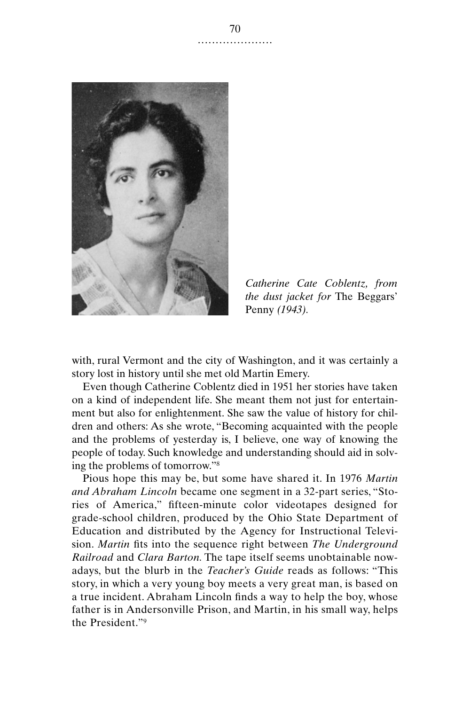

*Catherine Cate Coblentz, from the dust jacket for* The Beggars' Penny *(1943).*

with, rural Vermont and the city of Washington, and it was certainly a story lost in history until she met old Martin Emery.

Even though Catherine Coblentz died in 1951 her stories have taken on a kind of independent life. She meant them not just for entertainment but also for enlightenment. She saw the value of history for children and others: As she wrote, "Becoming acquainted with the people and the problems of yesterday is, I believe, one way of knowing the people of today. Such knowledge and understanding should aid in solving the problems of tomorrow."8

Pious hope this may be, but some have shared it. In 1976 *Martin and Abraham Lincoln* became one segment in a 32-part series, "Stories of America," fifteen-minute color videotapes designed for grade-school children, produced by the Ohio State Department of Education and distributed by the Agency for Instructional Television. *Martin* fits into the sequence right between *The Underground Railroad* and *Clara Barton.* The tape itself seems unobtainable nowadays, but the blurb in the *Teacher's Guide* reads as follows: "This story, in which a very young boy meets a very great man, is based on a true incident. Abraham Lincoln finds a way to help the boy, whose father is in Andersonville Prison, and Martin, in his small way, helps the President."9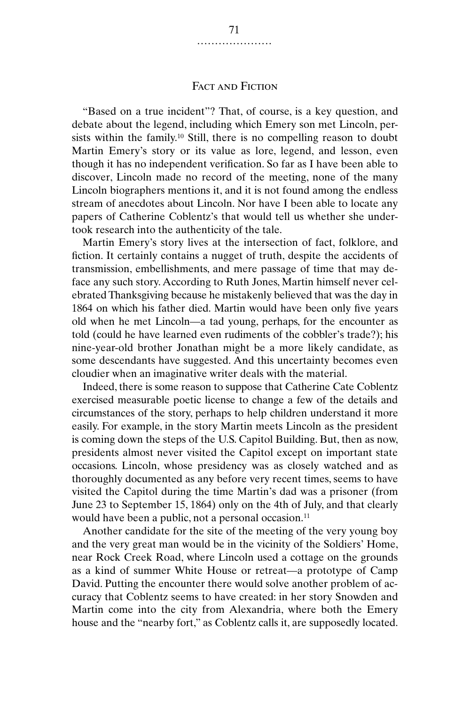## Fact and Fiction

"Based on a true incident"? That, of course, is a key question, and debate about the legend, including which Emery son met Lincoln, persists within the family.<sup>10</sup> Still, there is no compelling reason to doubt Martin Emery's story or its value as lore, legend, and lesson, even though it has no independent verification. So far as I have been able to discover, Lincoln made no record of the meeting, none of the many Lincoln biographers mentions it, and it is not found among the endless stream of anecdotes about Lincoln. Nor have I been able to locate any papers of Catherine Coblentz's that would tell us whether she undertook research into the authenticity of the tale.

Martin Emery's story lives at the intersection of fact, folklore, and fiction. It certainly contains a nugget of truth, despite the accidents of transmission, embellishments, and mere passage of time that may deface any such story. According to Ruth Jones, Martin himself never celebrated Thanksgiving because he mistakenly believed that was the day in 1864 on which his father died. Martin would have been only five years old when he met Lincoln—a tad young, perhaps, for the encounter as told (could he have learned even rudiments of the cobbler's trade?); his nine-year-old brother Jonathan might be a more likely candidate, as some descendants have suggested. And this uncertainty becomes even cloudier when an imaginative writer deals with the material.

Indeed, there is some reason to suppose that Catherine Cate Coblentz exercised measurable poetic license to change a few of the details and circumstances of the story, perhaps to help children understand it more easily. For example, in the story Martin meets Lincoln as the president is coming down the steps of the U.S. Capitol Building. But, then as now, presidents almost never visited the Capitol except on important state occasions. Lincoln, whose presidency was as closely watched and as thoroughly documented as any before very recent times, seems to have visited the Capitol during the time Martin's dad was a prisoner (from June 23 to September 15, 1864) only on the 4th of July, and that clearly would have been a public, not a personal occasion.<sup>11</sup>

Another candidate for the site of the meeting of the very young boy and the very great man would be in the vicinity of the Soldiers' Home, near Rock Creek Road, where Lincoln used a cottage on the grounds as a kind of summer White House or retreat—a prototype of Camp David. Putting the encounter there would solve another problem of accuracy that Coblentz seems to have created: in her story Snowden and Martin come into the city from Alexandria, where both the Emery house and the "nearby fort," as Coblentz calls it, are supposedly located.